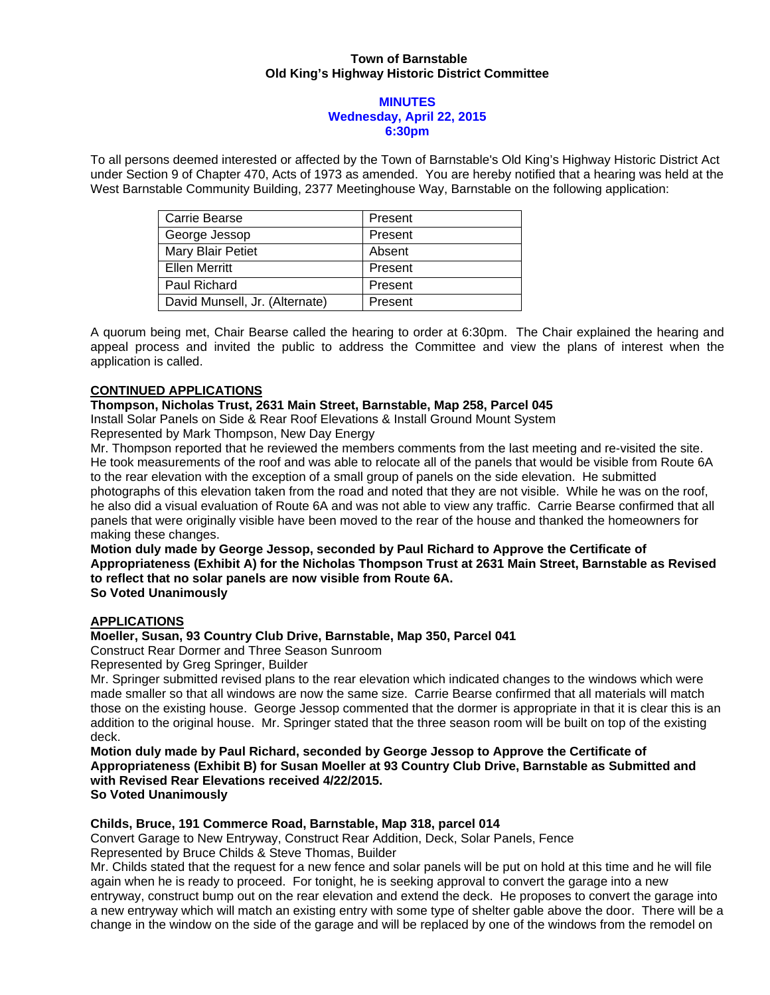### **Town of Barnstable Old King's Highway Historic District Committee**

#### **MINUTES Wednesday, April 22, 2015 6:30pm**

To all persons deemed interested or affected by the Town of Barnstable's Old King's Highway Historic District Act under Section 9 of Chapter 470, Acts of 1973 as amended. You are hereby notified that a hearing was held at the West Barnstable Community Building, 2377 Meetinghouse Way, Barnstable on the following application:

| Carrie Bearse                  | Present |
|--------------------------------|---------|
| George Jessop                  | Present |
| <b>Mary Blair Petiet</b>       | Absent  |
| Ellen Merritt                  | Present |
| <b>Paul Richard</b>            | Present |
| David Munsell, Jr. (Alternate) | Present |

A quorum being met, Chair Bearse called the hearing to order at 6:30pm. The Chair explained the hearing and appeal process and invited the public to address the Committee and view the plans of interest when the application is called.

# **CONTINUED APPLICATIONS**

## **Thompson, Nicholas Trust, 2631 Main Street, Barnstable, Map 258, Parcel 045**

Install Solar Panels on Side & Rear Roof Elevations & Install Ground Mount System Represented by Mark Thompson, New Day Energy

Mr. Thompson reported that he reviewed the members comments from the last meeting and re-visited the site. He took measurements of the roof and was able to relocate all of the panels that would be visible from Route 6A to the rear elevation with the exception of a small group of panels on the side elevation. He submitted photographs of this elevation taken from the road and noted that they are not visible. While he was on the roof, he also did a visual evaluation of Route 6A and was not able to view any traffic. Carrie Bearse confirmed that all panels that were originally visible have been moved to the rear of the house and thanked the homeowners for making these changes.

**Motion duly made by George Jessop, seconded by Paul Richard to Approve the Certificate of Appropriateness (Exhibit A) for the Nicholas Thompson Trust at 2631 Main Street, Barnstable as Revised to reflect that no solar panels are now visible from Route 6A.** 

**So Voted Unanimously** 

# **APPLICATIONS**

#### **Moeller, Susan, 93 Country Club Drive, Barnstable, Map 350, Parcel 041**

Construct Rear Dormer and Three Season Sunroom

Represented by Greg Springer, Builder

Mr. Springer submitted revised plans to the rear elevation which indicated changes to the windows which were made smaller so that all windows are now the same size. Carrie Bearse confirmed that all materials will match those on the existing house. George Jessop commented that the dormer is appropriate in that it is clear this is an addition to the original house. Mr. Springer stated that the three season room will be built on top of the existing deck.

**Motion duly made by Paul Richard, seconded by George Jessop to Approve the Certificate of Appropriateness (Exhibit B) for Susan Moeller at 93 Country Club Drive, Barnstable as Submitted and with Revised Rear Elevations received 4/22/2015. So Voted Unanimously** 

#### **Childs, Bruce, 191 Commerce Road, Barnstable, Map 318, parcel 014**

Convert Garage to New Entryway, Construct Rear Addition, Deck, Solar Panels, Fence Represented by Bruce Childs & Steve Thomas, Builder

Mr. Childs stated that the request for a new fence and solar panels will be put on hold at this time and he will file again when he is ready to proceed. For tonight, he is seeking approval to convert the garage into a new entryway, construct bump out on the rear elevation and extend the deck. He proposes to convert the garage into a new entryway which will match an existing entry with some type of shelter gable above the door. There will be a change in the window on the side of the garage and will be replaced by one of the windows from the remodel on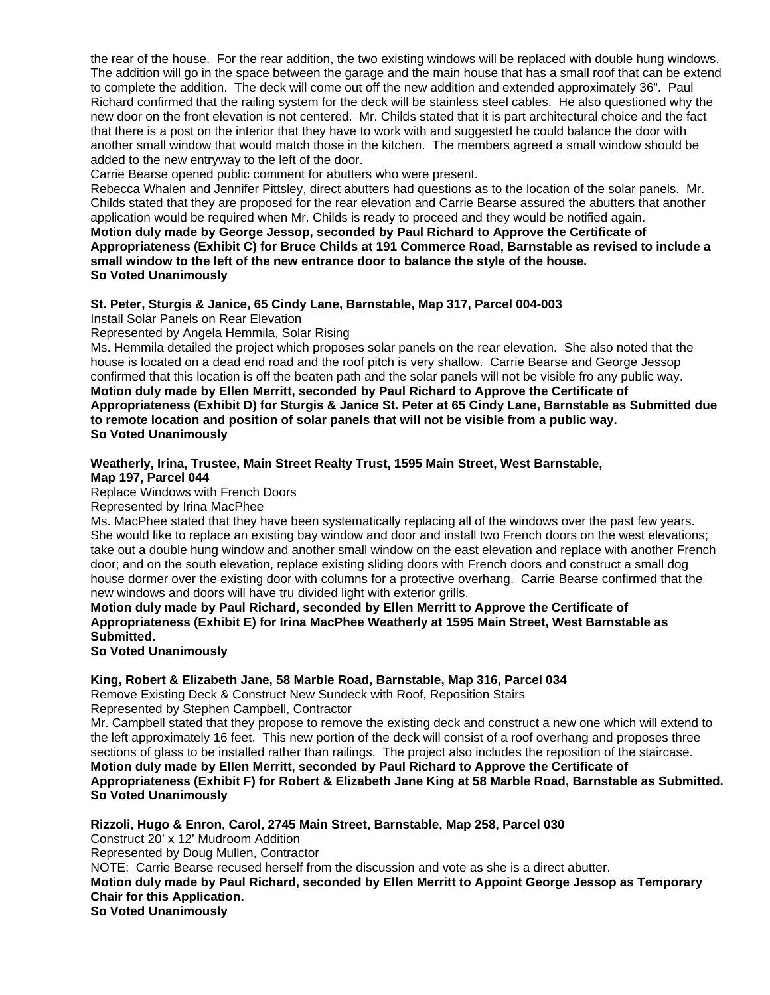the rear of the house. For the rear addition, the two existing windows will be replaced with double hung windows. The addition will go in the space between the garage and the main house that has a small roof that can be extend to complete the addition. The deck will come out off the new addition and extended approximately 36". Paul Richard confirmed that the railing system for the deck will be stainless steel cables. He also questioned why the new door on the front elevation is not centered. Mr. Childs stated that it is part architectural choice and the fact that there is a post on the interior that they have to work with and suggested he could balance the door with another small window that would match those in the kitchen. The members agreed a small window should be added to the new entryway to the left of the door.

Carrie Bearse opened public comment for abutters who were present.

Rebecca Whalen and Jennifer Pittsley, direct abutters had questions as to the location of the solar panels. Mr. Childs stated that they are proposed for the rear elevation and Carrie Bearse assured the abutters that another application would be required when Mr. Childs is ready to proceed and they would be notified again.

**Motion duly made by George Jessop, seconded by Paul Richard to Approve the Certificate of Appropriateness (Exhibit C) for Bruce Childs at 191 Commerce Road, Barnstable as revised to include a small window to the left of the new entrance door to balance the style of the house. So Voted Unanimously** 

## **St. Peter, Sturgis & Janice, 65 Cindy Lane, Barnstable, Map 317, Parcel 004-003**

Install Solar Panels on Rear Elevation

Represented by Angela Hemmila, Solar Rising

Ms. Hemmila detailed the project which proposes solar panels on the rear elevation. She also noted that the house is located on a dead end road and the roof pitch is very shallow. Carrie Bearse and George Jessop confirmed that this location is off the beaten path and the solar panels will not be visible fro any public way. **Motion duly made by Ellen Merritt, seconded by Paul Richard to Approve the Certificate of Appropriateness (Exhibit D) for Sturgis & Janice St. Peter at 65 Cindy Lane, Barnstable as Submitted due to remote location and position of solar panels that will not be visible from a public way. So Voted Unanimously** 

#### **Weatherly, Irina, Trustee, Main Street Realty Trust, 1595 Main Street, West Barnstable, Map 197, Parcel 044**

Replace Windows with French Doors

Represented by Irina MacPhee

Ms. MacPhee stated that they have been systematically replacing all of the windows over the past few years. She would like to replace an existing bay window and door and install two French doors on the west elevations; take out a double hung window and another small window on the east elevation and replace with another French door; and on the south elevation, replace existing sliding doors with French doors and construct a small dog house dormer over the existing door with columns for a protective overhang. Carrie Bearse confirmed that the new windows and doors will have tru divided light with exterior grills.

**Motion duly made by Paul Richard, seconded by Ellen Merritt to Approve the Certificate of Appropriateness (Exhibit E) for Irina MacPhee Weatherly at 1595 Main Street, West Barnstable as Submitted.** 

**So Voted Unanimously**

# **King, Robert & Elizabeth Jane, 58 Marble Road, Barnstable, Map 316, Parcel 034**

Remove Existing Deck & Construct New Sundeck with Roof, Reposition Stairs

Represented by Stephen Campbell, Contractor

Mr. Campbell stated that they propose to remove the existing deck and construct a new one which will extend to the left approximately 16 feet. This new portion of the deck will consist of a roof overhang and proposes three sections of glass to be installed rather than railings. The project also includes the reposition of the staircase. **Motion duly made by Ellen Merritt, seconded by Paul Richard to Approve the Certificate of Appropriateness (Exhibit F) for Robert & Elizabeth Jane King at 58 Marble Road, Barnstable as Submitted. So Voted Unanimously** 

**Rizzoli, Hugo & Enron, Carol, 2745 Main Street, Barnstable, Map 258, Parcel 030**  Construct 20' x 12' Mudroom Addition Represented by Doug Mullen, Contractor NOTE: Carrie Bearse recused herself from the discussion and vote as she is a direct abutter. **Motion duly made by Paul Richard, seconded by Ellen Merritt to Appoint George Jessop as Temporary Chair for this Application. So Voted Unanimously**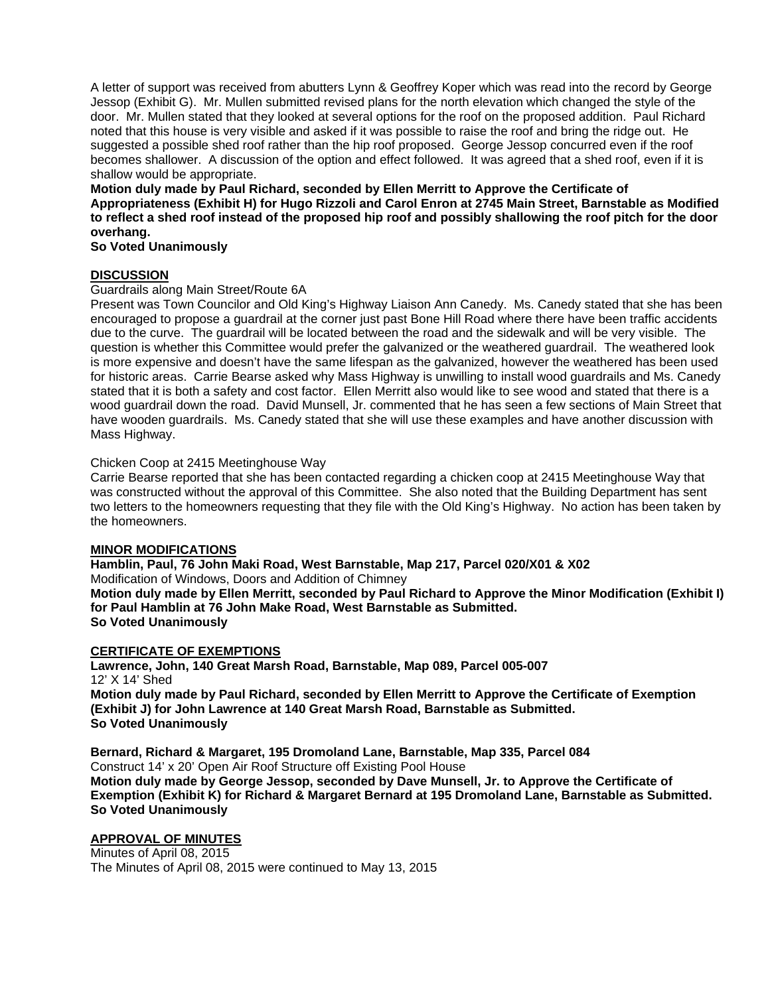A letter of support was received from abutters Lynn & Geoffrey Koper which was read into the record by George Jessop (Exhibit G). Mr. Mullen submitted revised plans for the north elevation which changed the style of the door. Mr. Mullen stated that they looked at several options for the roof on the proposed addition. Paul Richard noted that this house is very visible and asked if it was possible to raise the roof and bring the ridge out. He suggested a possible shed roof rather than the hip roof proposed. George Jessop concurred even if the roof becomes shallower. A discussion of the option and effect followed. It was agreed that a shed roof, even if it is shallow would be appropriate.

**Motion duly made by Paul Richard, seconded by Ellen Merritt to Approve the Certificate of Appropriateness (Exhibit H) for Hugo Rizzoli and Carol Enron at 2745 Main Street, Barnstable as Modified to reflect a shed roof instead of the proposed hip roof and possibly shallowing the roof pitch for the door overhang.** 

**So Voted Unanimously** 

# **DISCUSSION**

Guardrails along Main Street/Route 6A

Present was Town Councilor and Old King's Highway Liaison Ann Canedy. Ms. Canedy stated that she has been encouraged to propose a guardrail at the corner just past Bone Hill Road where there have been traffic accidents due to the curve. The guardrail will be located between the road and the sidewalk and will be very visible. The question is whether this Committee would prefer the galvanized or the weathered guardrail. The weathered look is more expensive and doesn't have the same lifespan as the galvanized, however the weathered has been used for historic areas. Carrie Bearse asked why Mass Highway is unwilling to install wood guardrails and Ms. Canedy stated that it is both a safety and cost factor. Ellen Merritt also would like to see wood and stated that there is a wood guardrail down the road. David Munsell, Jr. commented that he has seen a few sections of Main Street that have wooden guardrails. Ms. Canedy stated that she will use these examples and have another discussion with Mass Highway.

Chicken Coop at 2415 Meetinghouse Way

Carrie Bearse reported that she has been contacted regarding a chicken coop at 2415 Meetinghouse Way that was constructed without the approval of this Committee. She also noted that the Building Department has sent two letters to the homeowners requesting that they file with the Old King's Highway. No action has been taken by the homeowners.

#### **MINOR MODIFICATIONS**

**Hamblin, Paul, 76 John Maki Road, West Barnstable, Map 217, Parcel 020/X01 & X02**  Modification of Windows, Doors and Addition of Chimney **Motion duly made by Ellen Merritt, seconded by Paul Richard to Approve the Minor Modification (Exhibit I) for Paul Hamblin at 76 John Make Road, West Barnstable as Submitted. So Voted Unanimously** 

#### **CERTIFICATE OF EXEMPTIONS**

**Lawrence, John, 140 Great Marsh Road, Barnstable, Map 089, Parcel 005-007**  12' X 14' Shed **Motion duly made by Paul Richard, seconded by Ellen Merritt to Approve the Certificate of Exemption (Exhibit J) for John Lawrence at 140 Great Marsh Road, Barnstable as Submitted.** 

**So Voted Unanimously** 

**Bernard, Richard & Margaret, 195 Dromoland Lane, Barnstable, Map 335, Parcel 084**  Construct 14' x 20' Open Air Roof Structure off Existing Pool House

**Motion duly made by George Jessop, seconded by Dave Munsell, Jr. to Approve the Certificate of Exemption (Exhibit K) for Richard & Margaret Bernard at 195 Dromoland Lane, Barnstable as Submitted. So Voted Unanimously** 

# **APPROVAL OF MINUTES**

Minutes of April 08, 2015 The Minutes of April 08, 2015 were continued to May 13, 2015